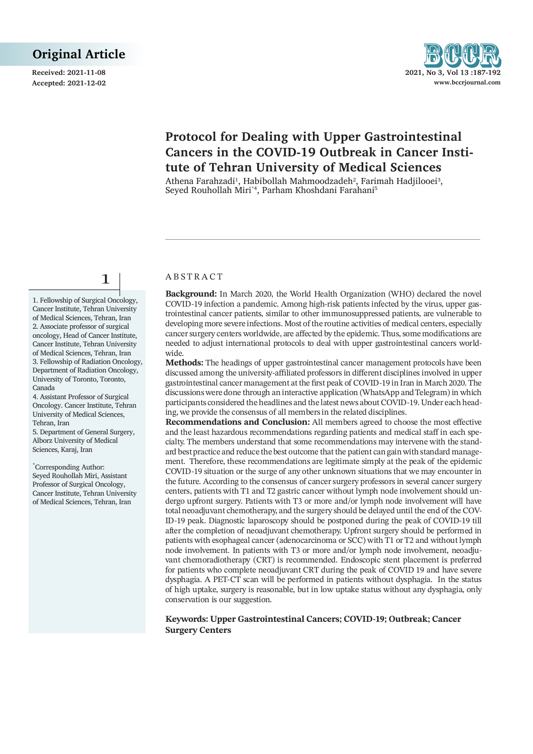**Received: 2021-11-08** 2021



# **Protocol for Dealing with Upper Gastrointestinal Cancers in the COVID-19 Outbreak in Cancer Institute of Tehran University of Medical Sciences**

Athena Farahzadi<sup>1</sup>, Habibollah Mahmoodzadeh<sup>2</sup>, Farimah Hadjilooei<sup>3</sup>, Seyed Rouhollah Miri\*4, Parham Khoshdani Farahani5

1

1. Fellowship of Surgical Oncology, Cancer Institute, Tehran University of Medical Sciences, Tehran, Iran 2. Associate professor of surgical oncology, Head of Cancer Institute, Cancer Institute, Tehran University of Medical Sciences, Tehran, Iran 3. Fellowship of Radiation Oncology, Department of Radiation Oncology, University of Toronto, Toronto, Canada

4. Assistant Professor of Surgical Oncology. Cancer Institute, Tehran University of Medical Sciences, Tehran, Iran

5. Department of General Surgery, Alborz University of Medical Sciences, Karaj, Iran

\* Corresponding Author: Seyed Rouhollah Miri, Assistant Professor of Surgical Oncology, Cancer Institute, Tehran University of Medical Sciences, Tehran, Iran

#### **ABSTRACT**

**Background:** In March 2020, the World Health Organization (WHO) declared the novel COVID-19 infection a pandemic. Among high-risk patients infected by the virus, upper gastrointestinal cancer patients, similar to other immunosuppressed patients, are vulnerable to developing more severe infections. Most of the routine activities of medical centers, especially cancer surgery centers worldwide, are affected by the epidemic. Thus, some modifications are needed to adjust international protocols to deal with upper gastrointestinal cancers worldwide.

**Methods:** The headings of upper gastrointestinal cancer management protocols have been discussed among the university-affiliated professors in different disciplines involved in upper gastrointestinal cancer management at the first peak of COVID-19 in Iran in March 2020. The discussions were done through an interactive application (WhatsApp and Telegram) in which participants considered the headlines and the latest news about COVID-19. Under each heading, we provide the consensus of all members in the related disciplines.

**Recommendations and Conclusion:** All members agreed to choose the most effective and the least hazardous recommendations regarding patients and medical staff in each specialty. The members understand that some recommendations may intervene with the standard best practice and reduce the best outcome that the patient can gain with standard management. Therefore, these recommendations are legitimate simply at the peak of the epidemic COVID-19 situation or the surge of any other unknown situations that we may encounter in the future. According to the consensus of cancer surgery professors in several cancer surgery centers, patients with T1 and T2 gastric cancer without lymph node involvement should undergo upfront surgery. Patients with T3 or more and/or lymph node involvement will have total neoadjuvant chemotherapy, and the surgery should be delayed until the end of the COV-ID-19 peak. Diagnostic laparoscopy should be postponed during the peak of COVID-19 till after the completion of neoadjuvant chemotherapy. Upfront surgery should be performed in patients with esophageal cancer (adenocarcinoma or SCC) with T1 or T2 and without lymph node involvement. In patients with T3 or more and/or lymph node involvement, neoadjuvant chemoradiotherapy (CRT) is recommended. Endoscopic stent placement is preferred for patients who complete neoadjuvant CRT during the peak of COVID 19 and have severe dysphagia. A PET-CT scan will be performed in patients without dysphagia. In the status of high uptake, surgery is reasonable, but in low uptake status without any dysphagia, only conservation is our suggestion.

#### **Keywords: Upper Gastrointestinal Cancers; COVID-19; Outbreak; Cancer Surgery Centers**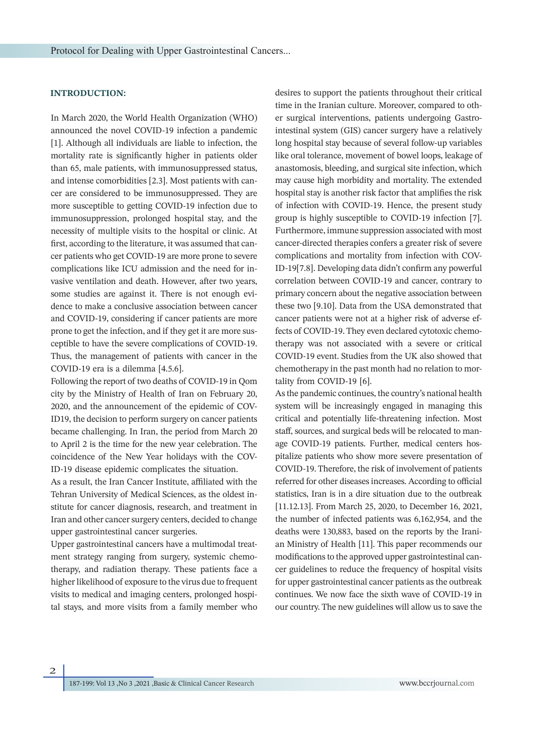# **INTRODUCTION:**

In March 2020, the World Health Organization (WHO) announced the novel COVID-19 infection a pandemic [1]. Although all individuals are liable to infection, the mortality rate is significantly higher in patients older than 65, male patients, with immunosuppressed status, and intense comorbidities [2.3]. Most patients with cancer are considered to be immunosuppressed. They are more susceptible to getting COVID-19 infection due to immunosuppression, prolonged hospital stay, and the necessity of multiple visits to the hospital or clinic. At first, according to the literature, it was assumed that cancer patients who get COVID-19 are more prone to severe complications like ICU admission and the need for invasive ventilation and death. However, after two years, some studies are against it. There is not enough evidence to make a conclusive association between cancer and COVID-19, considering if cancer patients are more prone to get the infection, and if they get it are more susceptible to have the severe complications of COVID-19. Thus, the management of patients with cancer in the COVID-19 era is a dilemma [4.5.6].

Following the report of two deaths of COVID-19 in Qom city by the Ministry of Health of Iran on February 20, 2020, and the announcement of the epidemic of COV-ID19, the decision to perform surgery on cancer patients became challenging. In Iran, the period from March 20 to April 2 is the time for the new year celebration. The coincidence of the New Year holidays with the COV-ID-19 disease epidemic complicates the situation.

As a result, the Iran Cancer Institute, affiliated with the Tehran University of Medical Sciences, as the oldest institute for cancer diagnosis, research, and treatment in Iran and other cancer surgery centers, decided to change upper gastrointestinal cancer surgeries.

Upper gastrointestinal cancers have a multimodal treatment strategy ranging from surgery, systemic chemotherapy, and radiation therapy. These patients face a higher likelihood of exposure to the virus due to frequent visits to medical and imaging centers, prolonged hospital stays, and more visits from a family member who desires to support the patients throughout their critical time in the Iranian culture. Moreover, compared to other surgical interventions, patients undergoing Gastrointestinal system (GIS) cancer surgery have a relatively long hospital stay because of several follow‐up variables like oral tolerance, movement of bowel loops, leakage of anastomosis, bleeding, and surgical site infection, which may cause high morbidity and mortality. The extended hospital stay is another risk factor that amplifies the risk of infection with COVID‐19. Hence, the present study group is highly susceptible to COVID‐19 infection [7]. Furthermore, immune suppression associated with most cancer-directed therapies confers a greater risk of severe complications and mortality from infection with COV-ID-19[7.8]. Developing data didn't confirm any powerful correlation between COVID-19 and cancer, contrary to primary concern about the negative association between these two [9.10]. Data from the USA demonstrated that cancer patients were not at a higher risk of adverse effects of COVID-19. They even declared cytotoxic chemotherapy was not associated with a severe or critical COVID-19 event. Studies from the UK also showed that chemotherapy in the past month had no relation to mortality from COVID-19 [6].

As the pandemic continues, the country's national health system will be increasingly engaged in managing this critical and potentially life-threatening infection. Most staff, sources, and surgical beds will be relocated to manage COVID-19 patients. Further, medical centers hospitalize patients who show more severe presentation of COVID-19. Therefore, the risk of involvement of patients referred for other diseases increases. According to official statistics, Iran is in a dire situation due to the outbreak [11.12.13]. From March 25, 2020, to December 16, 2021, the number of infected patients was 6,162,954, and the deaths were 130,883, based on the reports by the Iranian Ministry of Health [11]. This paper recommends our modifications to the approved upper gastrointestinal cancer guidelines to reduce the frequency of hospital visits for upper gastrointestinal cancer patients as the outbreak continues. We now face the sixth wave of COVID-19 in our country. The new guidelines will allow us to save the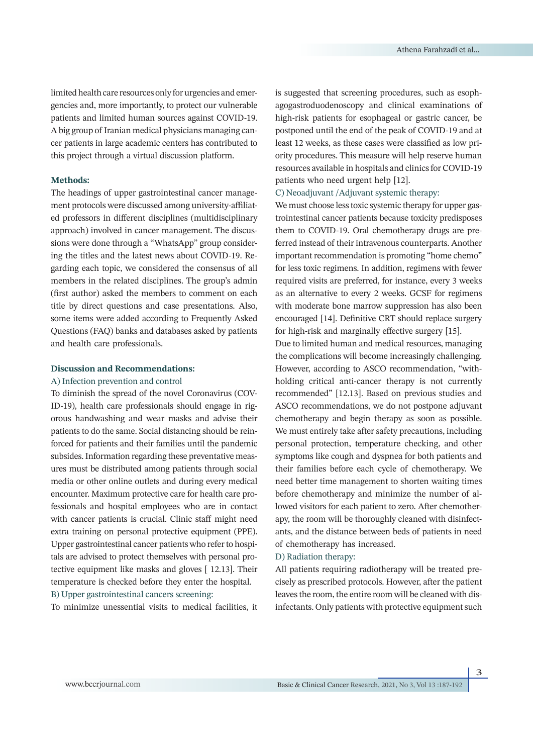limited health care resources only for urgencies and emergencies and, more importantly, to protect our vulnerable patients and limited human sources against COVID-19. A big group of Iranian medical physicians managing cancer patients in large academic centers has contributed to this project through a virtual discussion platform.

# **Methods:**

The headings of upper gastrointestinal cancer management protocols were discussed among university-affiliated professors in different disciplines (multidisciplinary approach) involved in cancer management. The discussions were done through a "WhatsApp" group considering the titles and the latest news about COVID-19. Regarding each topic, we considered the consensus of all members in the related disciplines. The group's admin (first author) asked the members to comment on each title by direct questions and case presentations. Also, some items were added according to Frequently Asked Questions (FAQ) banks and databases asked by patients and health care professionals.

# **Discussion and Recommendations:**

## A) Infection prevention and control

To diminish the spread of the novel Coronavirus (COV-ID-19), health care professionals should engage in rigorous handwashing and wear masks and advise their patients to do the same. Social distancing should be reinforced for patients and their families until the pandemic subsides. Information regarding these preventative measures must be distributed among patients through social media or other online outlets and during every medical encounter. Maximum protective care for health care professionals and hospital employees who are in contact with cancer patients is crucial. Clinic staff might need extra training on personal protective equipment (PPE). Upper gastrointestinal cancer patients who refer to hospitals are advised to protect themselves with personal protective equipment like masks and gloves [ 12.13]. Their temperature is checked before they enter the hospital. B) Upper gastrointestinal cancers screening:

To minimize unessential visits to medical facilities, it

is suggested that screening procedures, such as esophagogastroduodenoscopy and clinical examinations of high-risk patients for esophageal or gastric cancer, be postponed until the end of the peak of COVID-19 and at least 12 weeks, as these cases were classified as low priority procedures. This measure will help reserve human resources available in hospitals and clinics for COVID-19 patients who need urgent help [12].

# C) Neoadjuvant /Adjuvant systemic therapy:

We must choose less toxic systemic therapy for upper gastrointestinal cancer patients because toxicity predisposes them to COVID-19. Oral chemotherapy drugs are preferred instead of their intravenous counterparts. Another important recommendation is promoting "home chemo" for less toxic regimens. In addition, regimens with fewer required visits are preferred, for instance, every 3 weeks as an alternative to every 2 weeks. GCSF for regimens with moderate bone marrow suppression has also been encouraged [14]. Definitive CRT should replace surgery for high-risk and marginally effective surgery [15].

Due to limited human and medical resources, managing the complications will become increasingly challenging. However, according to ASCO recommendation, "withholding critical anti-cancer therapy is not currently recommended" [12.13]. Based on previous studies and ASCO recommendations, we do not postpone adjuvant chemotherapy and begin therapy as soon as possible. We must entirely take after safety precautions, including personal protection, temperature checking, and other symptoms like cough and dyspnea for both patients and their families before each cycle of chemotherapy. We need better time management to shorten waiting times before chemotherapy and minimize the number of allowed visitors for each patient to zero. After chemotherapy, the room will be thoroughly cleaned with disinfectants, and the distance between beds of patients in need of chemotherapy has increased.

# D) Radiation therapy:

All patients requiring radiotherapy will be treated precisely as prescribed protocols. However, after the patient leaves the room, the entire room will be cleaned with disinfectants. Only patients with protective equipment such

3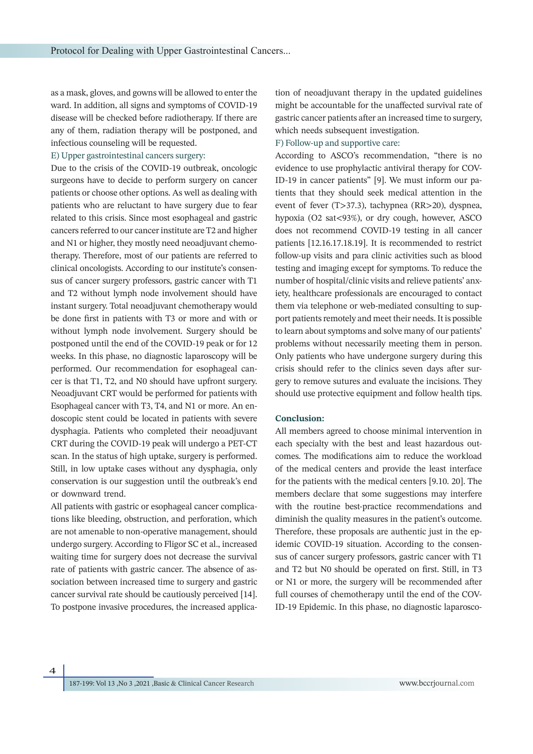as a mask, gloves, and gowns will be allowed to enter the ward. In addition, all signs and symptoms of COVID-19 disease will be checked before radiotherapy. If there are any of them, radiation therapy will be postponed, and infectious counseling will be requested.

#### E) Upper gastrointestinal cancers surgery:

Due to the crisis of the COVID-19 outbreak, oncologic surgeons have to decide to perform surgery on cancer patients or choose other options. As well as dealing with patients who are reluctant to have surgery due to fear related to this crisis. Since most esophageal and gastric cancers referred to our cancer institute are T2 and higher and N1 or higher, they mostly need neoadjuvant chemotherapy. Therefore, most of our patients are referred to clinical oncologists. According to our institute's consensus of cancer surgery professors, gastric cancer with T1 and T2 without lymph node involvement should have instant surgery. Total neoadjuvant chemotherapy would be done first in patients with T3 or more and with or without lymph node involvement. Surgery should be postponed until the end of the COVID-19 peak or for 12 weeks. In this phase, no diagnostic laparoscopy will be performed. Our recommendation for esophageal cancer is that T1, T2, and N0 should have upfront surgery. Neoadjuvant CRT would be performed for patients with Esophageal cancer with T3, T4, and N1 or more. An endoscopic stent could be located in patients with severe dysphagia. Patients who completed their neoadjuvant CRT during the COVID-19 peak will undergo a PET-CT scan. In the status of high uptake, surgery is performed. Still, in low uptake cases without any dysphagia, only conservation is our suggestion until the outbreak's end or downward trend.

All patients with gastric or esophageal cancer complications like bleeding, obstruction, and perforation, which are not amenable to non-operative management, should undergo surgery. According to Fligor SC et al., increased waiting time for surgery does not decrease the survival rate of patients with gastric cancer. The absence of association between increased time to surgery and gastric cancer survival rate should be cautiously perceived [14]. To postpone invasive procedures, the increased application of neoadjuvant therapy in the updated guidelines might be accountable for the unaffected survival rate of gastric cancer patients after an increased time to surgery, which needs subsequent investigation.

#### F) Follow-up and supportive care:

According to ASCO's recommendation, "there is no evidence to use prophylactic antiviral therapy for COV-ID-19 in cancer patients" [9]. We must inform our patients that they should seek medical attention in the event of fever (T>37.3), tachypnea (RR>20), dyspnea, hypoxia (O2 sat<93%), or dry cough, however, ASCO does not recommend COVID-19 testing in all cancer patients [12.16.17.18.19]. It is recommended to restrict follow-up visits and para clinic activities such as blood testing and imaging except for symptoms. To reduce the number of hospital/clinic visits and relieve patients' anxiety, healthcare professionals are encouraged to contact them via telephone or web-mediated consulting to support patients remotely and meet their needs. It is possible to learn about symptoms and solve many of our patients' problems without necessarily meeting them in person. Only patients who have undergone surgery during this crisis should refer to the clinics seven days after surgery to remove sutures and evaluate the incisions. They should use protective equipment and follow health tips.

### **Conclusion:**

All members agreed to choose minimal intervention in each specialty with the best and least hazardous outcomes. The modifications aim to reduce the workload of the medical centers and provide the least interface for the patients with the medical centers [9.10. 20]. The members declare that some suggestions may interfere with the routine best-practice recommendations and diminish the quality measures in the patient's outcome. Therefore, these proposals are authentic just in the epidemic COVID-19 situation. According to the consensus of cancer surgery professors, gastric cancer with T1 and T2 but N0 should be operated on first. Still, in T3 or N1 or more, the surgery will be recommended after full courses of chemotherapy until the end of the COV-ID-19 Epidemic. In this phase, no diagnostic laparosco-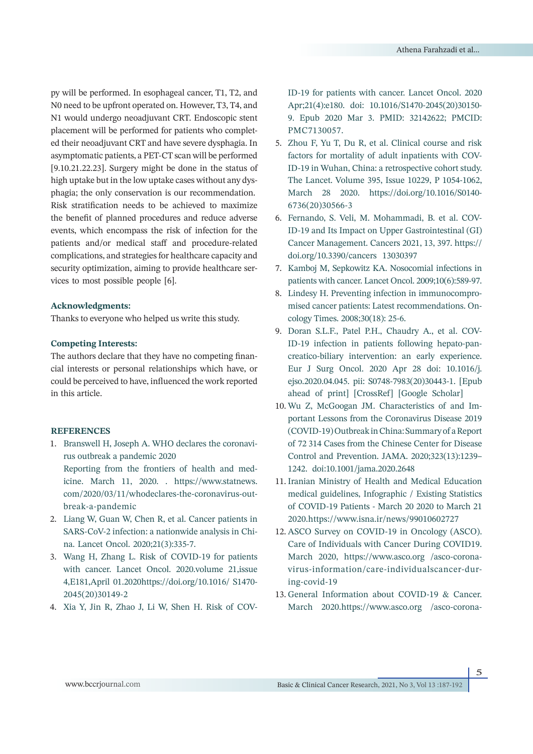py will be performed. In esophageal cancer, T1, T2, and N0 need to be upfront operated on. However, T3, T4, and N1 would undergo neoadjuvant CRT. Endoscopic stent placement will be performed for patients who completed their neoadjuvant CRT and have severe dysphagia. In asymptomatic patients, a PET-CT scan will be performed [9.10.21.22.23]. Surgery might be done in the status of high uptake but in the low uptake cases without any dysphagia; the only conservation is our recommendation. Risk stratification needs to be achieved to maximize the benefit of planned procedures and reduce adverse events, which encompass the risk of infection for the patients and/or medical staff and procedure-related complications, and strategies for healthcare capacity and security optimization, aiming to provide healthcare services to most possible people [6].

#### **Acknowledgments:**

Thanks to everyone who helped us write this study.

#### **Competing Interests:**

The authors declare that they have no competing financial interests or personal relationships which have, or could be perceived to have, influenced the work reported in this article.

## **REFERENCES**

- 1. Branswell H, Joseph A. WHO declares the coronavirus outbreak a pandemic 2020 Reporting from the frontiers of health and medicine. March 11, 2020. . https://www.statnews. com/2020/03/11/whodeclares-the-coronavirus-outbreak-a-pandemic
- 2. Liang W, Guan W, Chen R, et al. Cancer patients in SARS-CoV-2 infection: a nationwide analysis in China. Lancet Oncol. 2020;21(3):335-7.
- Wang H, Zhang L. Risk of COVID-19 for patients 3. with cancer. Lancet Oncol. 2020.volume 21,issue 4,E181,April 01.2020https://doi.org/10.1016/ S1470- 2045(20)30149-2
- Xia Y, Jin R, Zhao J, Li W, Shen H. Risk of COV-4.

ID-19 for patients with cancer. Lancet Oncol. 2020 Apr;21(4):e180. doi: 10.1016/S1470-2045(20)30150- 9. Epub 2020 Mar 3. PMID: 32142622; PMCID: PMC7130057.

- 5. Zhou F, Yu T, Du R, et al. Clinical course and risk factors for mortality of adult inpatients with COV-ID-19 in Wuhan, China: a retrospective cohort study. The Lancet. Volume 395, Issue 10229, P 1054-1062, March 28 2020. https://doi.org/10.1016/S0140- 6736(20)30566-3
- Fernando, S. Veli, M. Mohammadi, B. et al. COV-6. ID-19 and Its Impact on Upper Gastrointestinal (GI) Cancer Management. Cancers 2021, 13, 397. https:// doi.org/10.3390/cancers 13030397
- 7. Kamboj M, Sepkowitz KA. Nosocomial infections in patients with cancer. Lancet Oncol. 2009;10(6):589-97.
- 8. Lindesy H. Preventing infection in immunocompromised cancer patients: Latest recommendations. Oncology Times. 2008;30(18): 25-6.
- 9. Doran S.L.F., Patel P.H., Chaudry A., et al. COV-ID-19 infection in patients following hepato-pancreatico-biliary intervention: an early experience. Eur J Surg Oncol. 2020 Apr 28 doi: 10.1016/j. ejso.2020.04.045. pii: S0748-7983(20)30443-1. [Epub ahead of print] [CrossRef] [Google Scholar]
- 10. Wu Z, McGoogan JM. Characteristics of and Important Lessons from the Coronavirus Disease 2019 (COVID-19) Outbreak in China: Summary of a Report of 72 314 Cases from the Chinese Center for Disease Control and Prevention. JAMA. 2020;323(13):1239– 1242. doi:10.1001/jama.2020.2648
- 11. Iranian Ministry of Health and Medical Education medical guidelines, Infographic / Existing Statistics of COVID-19 Patients - March 20 2020 to March 21 2020.https://www.isna.ir/news/99010602727
- 12. ASCO Survey on COVID-19 in Oncology (ASCO). Care of Individuals with Cancer During COVID19. March 2020, https://www.asco.org /asco-coronavirus-information/care-individualscancer-during-covid-19
- 13. General Information about COVID-19 & Cancer. March 2020.https://www.asco.org /asco-corona-